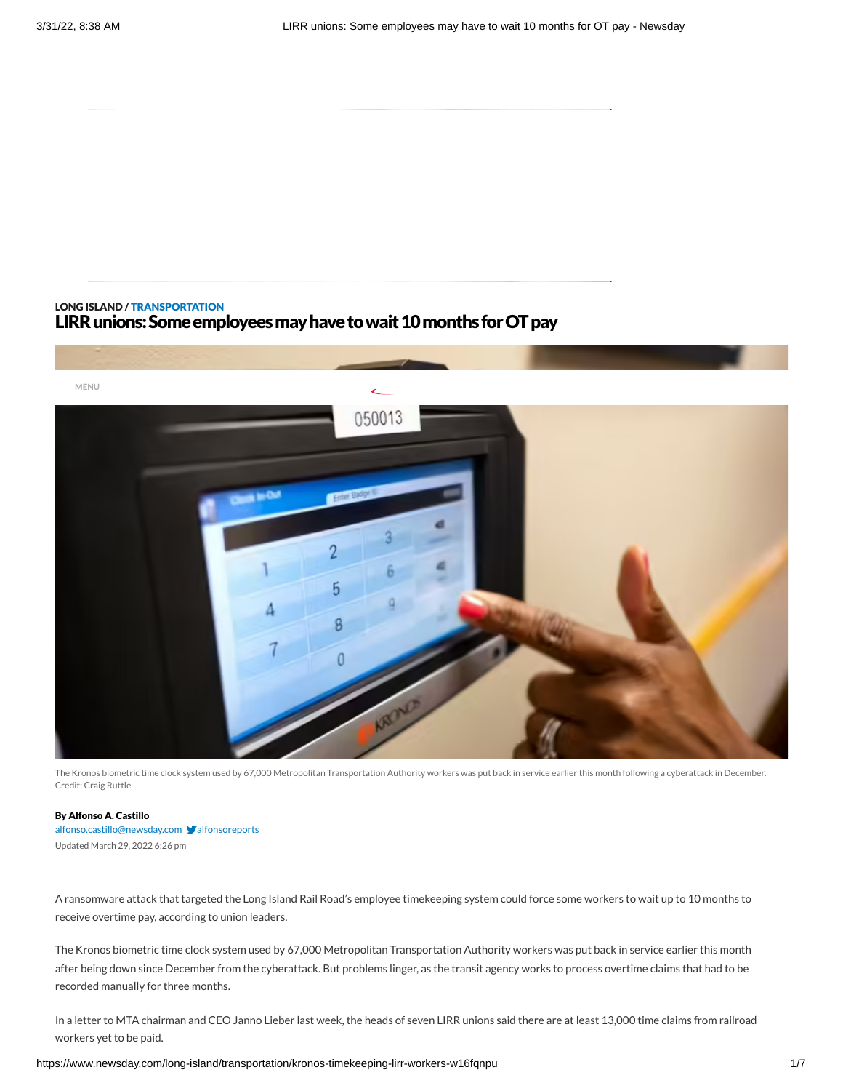# LONG [ISLAND](https://www.newsday.com/long-island) / [TRANSPORTATION](https://www.newsday.com/long-island/transportation) LIRR unions: Some employees may have to wait 10 months for OT pay



The Kronos biometric time clock system used by 67,000 Metropolitan Transportation Authority workers was put back in service earlier this month following a cyberattack in December. Credit: Craig Ruttle

### By Alfonso A. Castillo

[alfonso.castillo@newsday.com](mailto:alfonso.castillo@newsday.com?subject=LIRR%20unions:%20Some%20employees%20may%20have%20to%20wait%2010%20months%20for%20OT%20pay) v[alfonsoreports](https://twitter.com/alfonsoreports) Updated March 29, 2022 6:26 pm

A ransomware attack that targeted the Long Island Rail Road's employee timekeeping system could force some workers to wait up to 10 months to receive overtime pay, according to union leaders.

The Kronos biometric time clock system used by 67,000 Metropolitan Transportation Authority workers was put back in service earlier this month after being down since December from the cyberattack. But problems linger, as the transit agency works to process overtime claims that had to be recorded manually for three months.

In a letter to MTA chairman and CEO Janno Lieber last week, the heads of seven LIRR unions said there are at least 13,000 time claims from railroad workers yet to be paid.